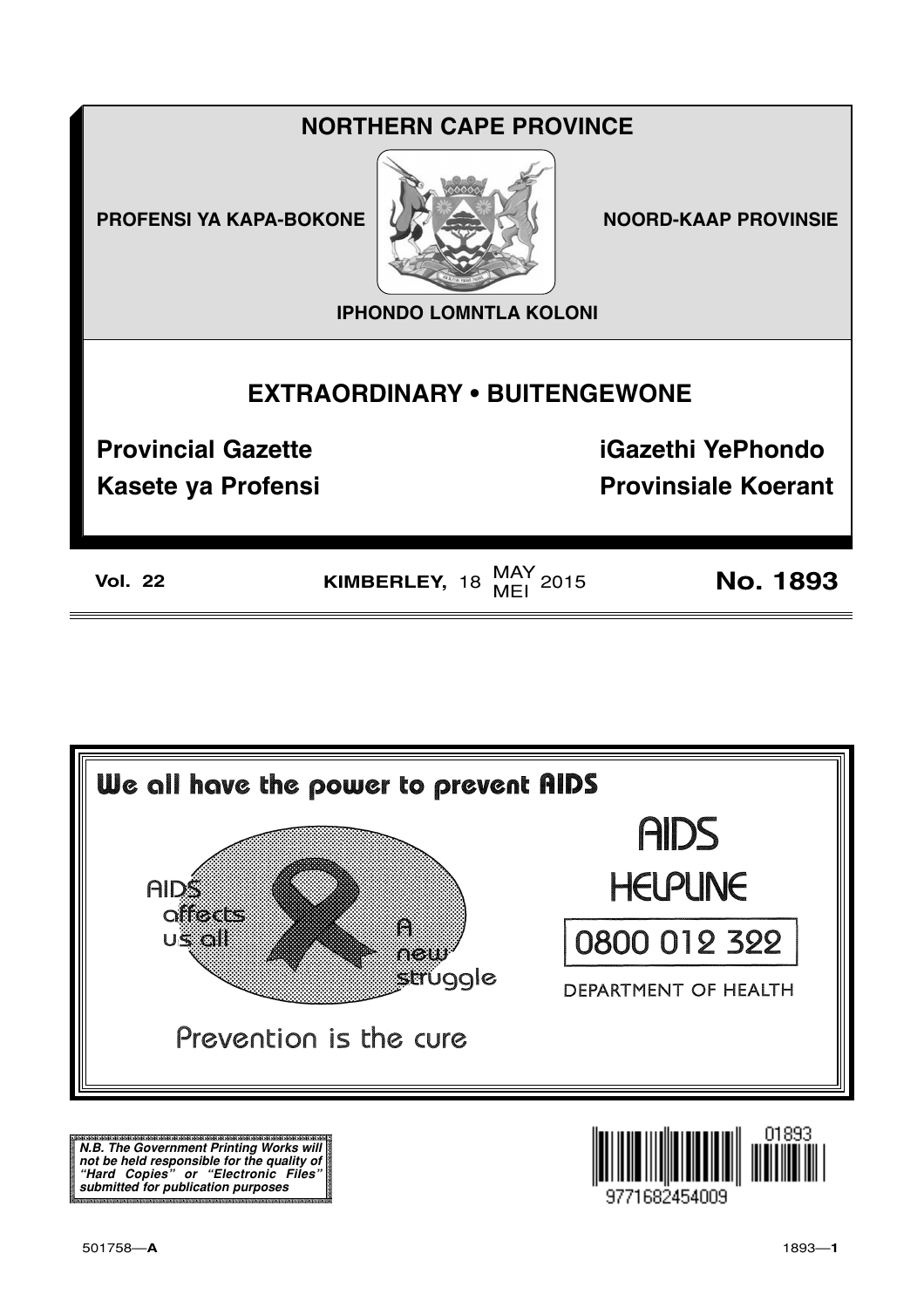### **NORTHERN CAPE PROVINCE**

**PROFENSI YA KAPA-BOKONE** 



**NOORD-KAAP PROVINSIE** 

**IPHONDO LOMNTLA KOLONI** 

### **EXTRAORDINARY . BUITENGEWONE**

**Provincial Gazette** 

**Kasete ya Profensi** 

**iGazethi YePhondo** 

**Provinsiale Koerant** 

**Vol. 22** 

KIMBERLEY,  $18$  MAY 2015

**No. 1893** 



N.B. The Government Printing Works will iv.b. The Government Printing works will<br>not be held responsible for the quality of<br>"Hard" Copies" or "Electronic Files"<br>submitted for publication purposes

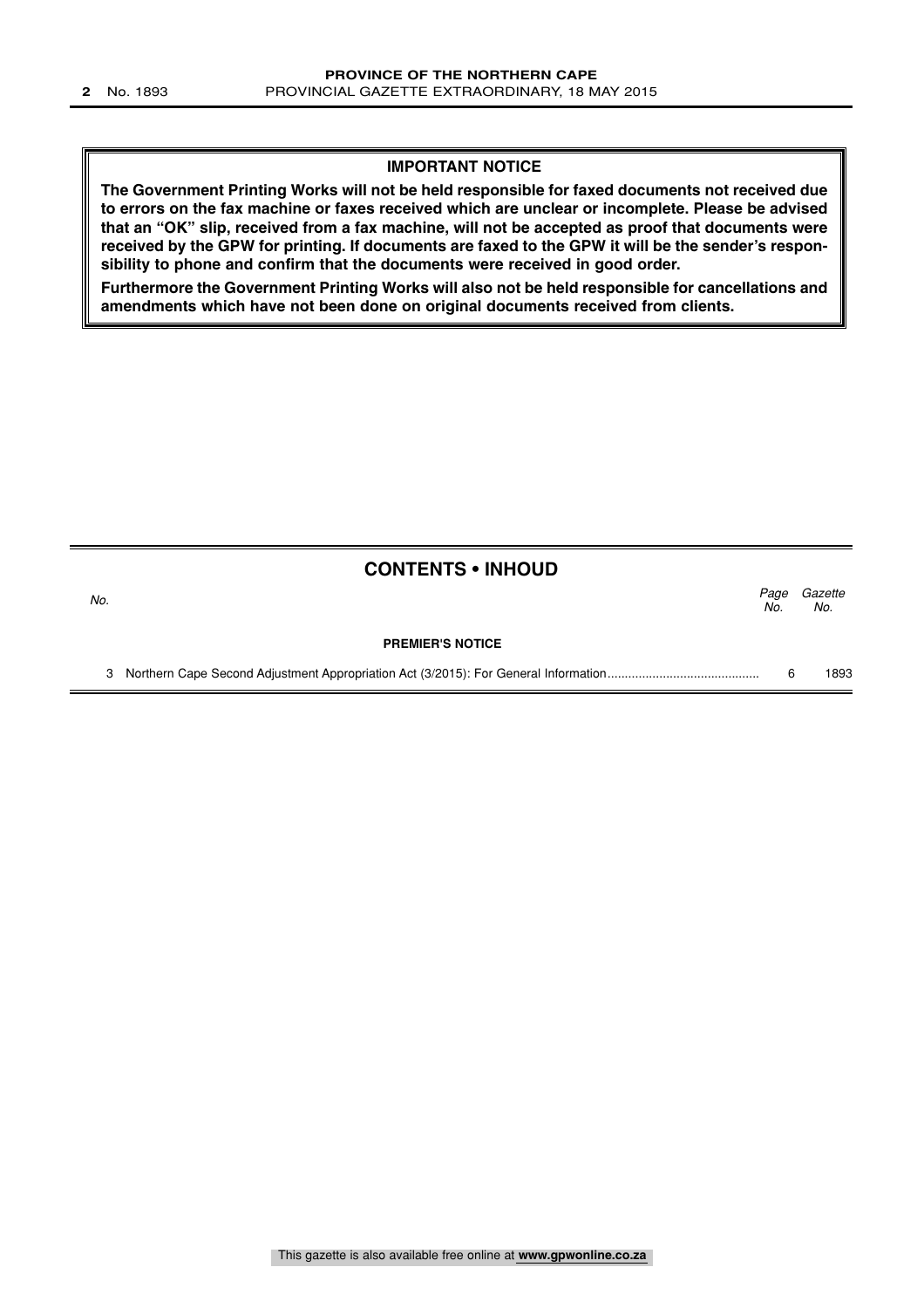### **IMPORTANT NOTICE**

**The Government Printing Works will not be held responsible for faxed documents not received due to errors on the fax machine or faxes received which are unclear or incomplete. Please be advised that an "OK" slip, received from a fax machine, will not be accepted as proof that documents were received by the GPW for printing. If documents are faxed to the GPW it will be the sender's responsibility to phone and confirm that the documents were received in good order.**

**Furthermore the Government Printing Works will also not be held responsible for cancellations and amendments which have not been done on original documents received from clients.**

|     | <b>CONTENTS • INHOUD</b> |             |                |
|-----|--------------------------|-------------|----------------|
| No. |                          | Page<br>No. | Gazette<br>No. |
|     | <b>PREMIER'S NOTICE</b>  |             |                |
| 3   |                          |             | 1893           |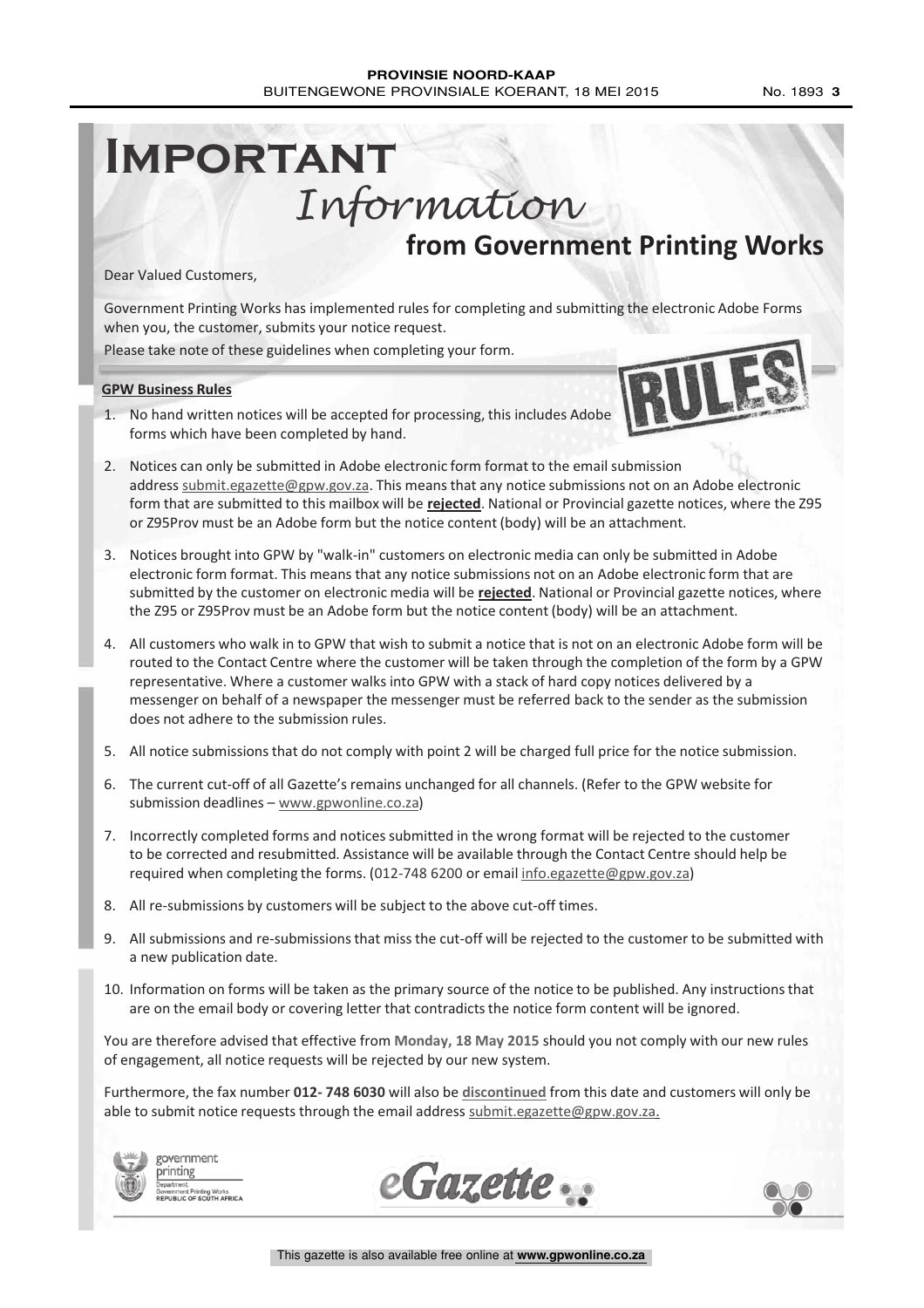### **PROVINSIE NOORD-KAAP** BUITENGEWONE PROVINSIALE KOERANT, 18 MEI 2015 No. 1893 3

# **IMPORTANT** Information

**from Government Printing Works**

Dear Valued Customers,

Government Printing Works has implemented rules for completing and submitting the electronic Adobe Forms when you, the customer, submits your notice request.

Please take note of these guidelines when completing your form.

#### **GPW Business Rules**

1. No hand written notices will be accepted for processing, this includes Adobe forms which have been completed by hand.



- 2. Notices can only be submitted in Adobe electronic form format to the email submission address submit.egazette@gpw.gov.za. This means that any notice submissions not on an Adobe electronic form that are submitted to this mailbox will be **rejected**. National or Provincial gazette notices, where the Z95 or Z95Prov must be an Adobe form but the notice content (body) will be an attachment.
- 3. Notices brought into GPW by "walk-in" customers on electronic media can only be submitted in Adobe electronic form format. This means that any notice submissions not on an Adobe electronic form that are submitted by the customer on electronic media will be **rejected**. National or Provincial gazette notices, where the Z95 or Z95Prov must be an Adobe form but the notice content (body) will be an attachment.
- 4. All customers who walk in to GPW that wish to submit a notice that is not on an electronic Adobe form will be routed to the Contact Centre where the customer will be taken through the completion of the form by a GPW representative. Where a customer walks into GPW with a stack of hard copy notices delivered by a messenger on behalf of a newspaper the messenger must be referred back to the sender as the submission does not adhere to the submission rules.
- 5. All notice submissions that do not comply with point 2 will be charged full price for the notice submission.
- 6. The current cut-off of all Gazette's remains unchanged for all channels. (Refer to the GPW website for submission deadlines - www.gpwonline.co.za)
- 7. Incorrectly completed forms and notices submitted in the wrong format will be rejected to the customer to be corrected and resubmitted. Assistance will be available through the Contact Centre should help be required when completing the forms. (012-748 6200 or email info.egazette@gpw.gov.za)
- 8. All re-submissions by customers will be subject to the above cut-off times.
- 9. All submissions and re-submissions that miss the cut-off will be rejected to the customer to be submitted with a new publication date.
- 10. Information on forms will be taken as the primary source of the notice to be published. Any instructions that are on the email body or covering letter that contradicts the notice form content will be ignored.

You are therefore advised that effective from **Monday, 18 May 2015** should you not comply with our new rules of engagement, all notice requests will be rejected by our new system.

Furthermore, the fax number **012- 748 6030** will also be **discontinued** from this date and customers will only be able to submit notice requests through the email address submit.egazette@gpw.gov.za.



government printing enւ<br>ient Printing Works<br>.ic of sollTH AFRICA



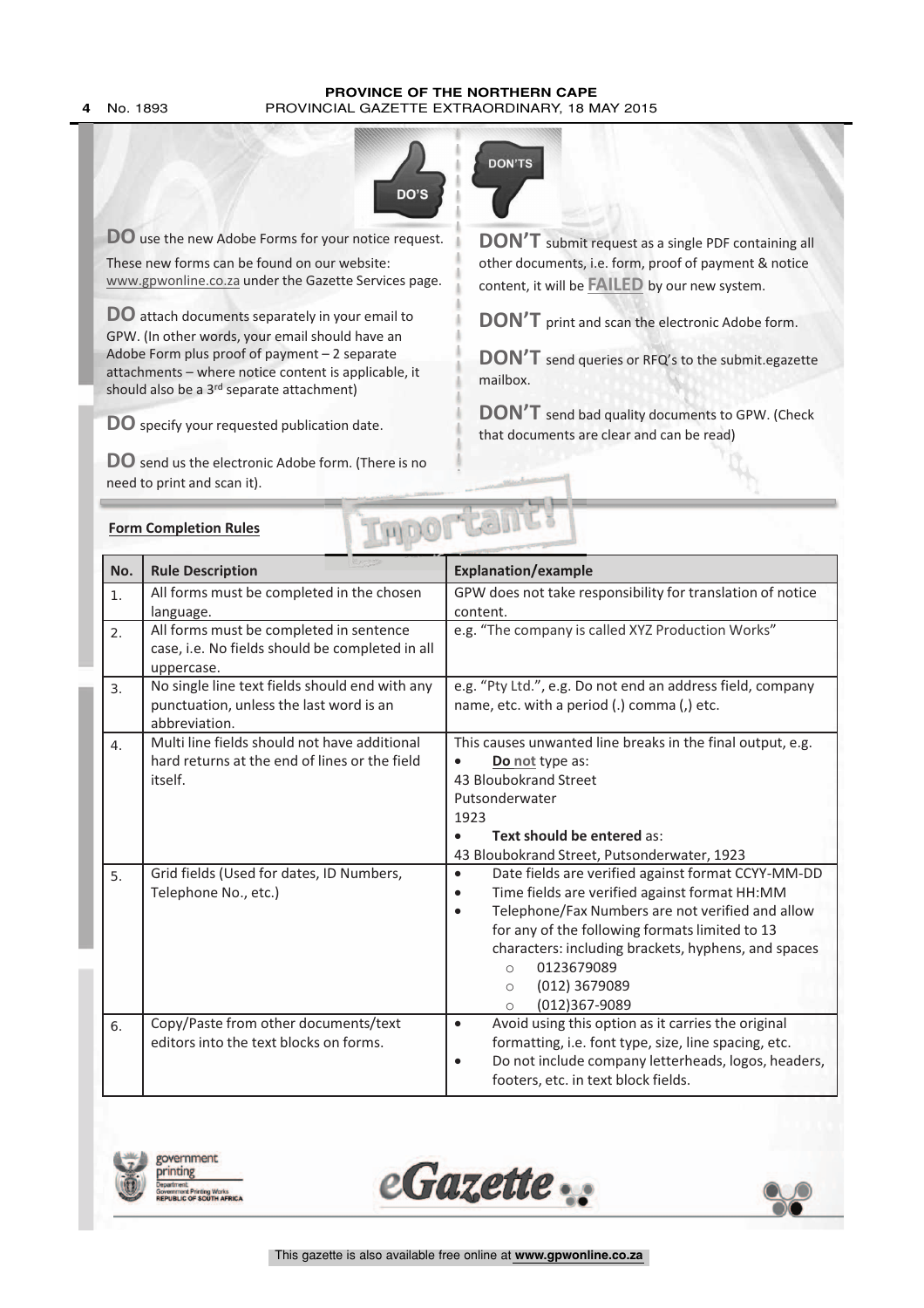#### **PROVINCE OF THE NORTHERN CAPE 4** No. 1893 PROVINCIAL GAZETTE EXTRAORDINARY, 18 MAY 2015



**DO** use the new Adobe Forms for your notice request.

These new forms can be found on our website: www.gpwonline.co.za under the Gazette Services page.

**DO** attach documents separately in your email to GPW. (In other words, your email should have an Adobe Form plus proof of payment – 2 separate attachments – where notice content is applicable, it should also be a 3<sup>rd</sup> separate attachment)

**DO** specify your requested publication date.

**DO** send us the electronic Adobe form. (There is no need to print and scan it).



**DON'T** submit request as <sup>a</sup> single PDF containing all other documents, i.e. form, proof of payment & notice content, it will be **FAILED** by our new system.

**DON'T** print and scan the electronic Adobe form.

**DON'T** send queries or RFQ's to the submit.egazette mailbox.

**DON'T** send bad quality documents to GPW. (Check that documents are clear and can be read)

|                | <b>Form Completion Rules</b>                                                                               | <b>MEAT</b>                                                                                                                                                                                                                                                                                                                                                                                   |  |  |  |  |
|----------------|------------------------------------------------------------------------------------------------------------|-----------------------------------------------------------------------------------------------------------------------------------------------------------------------------------------------------------------------------------------------------------------------------------------------------------------------------------------------------------------------------------------------|--|--|--|--|
| No.            | <b>Rule Description</b>                                                                                    | <b>Explanation/example</b>                                                                                                                                                                                                                                                                                                                                                                    |  |  |  |  |
| 1.             | All forms must be completed in the chosen<br>language.                                                     | GPW does not take responsibility for translation of notice<br>content.                                                                                                                                                                                                                                                                                                                        |  |  |  |  |
| 2.             | All forms must be completed in sentence<br>case, i.e. No fields should be completed in all<br>uppercase.   | e.g. "The company is called XYZ Production Works"                                                                                                                                                                                                                                                                                                                                             |  |  |  |  |
| 3 <sub>1</sub> | No single line text fields should end with any<br>punctuation, unless the last word is an<br>abbreviation. | e.g. "Pty Ltd.", e.g. Do not end an address field, company<br>name, etc. with a period (.) comma (,) etc.                                                                                                                                                                                                                                                                                     |  |  |  |  |
| 4.             | Multi line fields should not have additional<br>hard returns at the end of lines or the field<br>itself.   | This causes unwanted line breaks in the final output, e.g.<br>Do not type as:<br>43 Bloubokrand Street<br>Putsonderwater<br>1923<br>Text should be entered as:<br>43 Bloubokrand Street, Putsonderwater, 1923                                                                                                                                                                                 |  |  |  |  |
| 5.             | Grid fields (Used for dates, ID Numbers,<br>Telephone No., etc.)                                           | Date fields are verified against format CCYY-MM-DD<br>$\bullet$<br>Time fields are verified against format HH:MM<br>$\bullet$<br>Telephone/Fax Numbers are not verified and allow<br>$\bullet$<br>for any of the following formats limited to 13<br>characters: including brackets, hyphens, and spaces<br>0123679089<br>$\circ$<br>(012) 3679089<br>$\bigcirc$<br>(012)367-9089<br>$\bigcap$ |  |  |  |  |
| 6.             | Copy/Paste from other documents/text<br>editors into the text blocks on forms.                             | Avoid using this option as it carries the original<br>$\bullet$<br>formatting, i.e. font type, size, line spacing, etc.<br>Do not include company letterheads, logos, headers,<br>$\bullet$<br>footers, etc. in text block fields.                                                                                                                                                            |  |  |  |  |

wernment

inting Works<br>COUTH AFR

inting



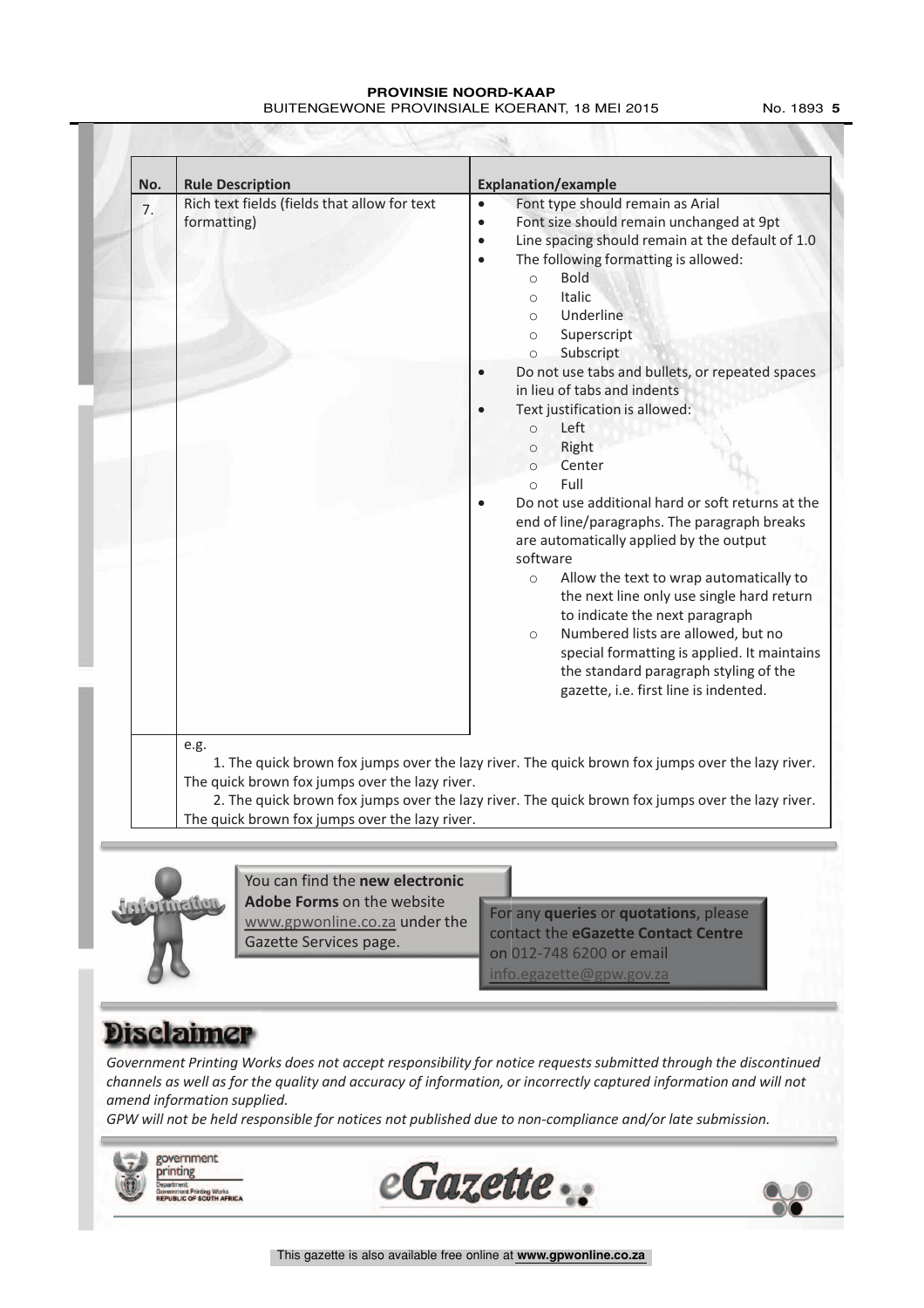#### **PROVINSIE NOORD-KAAP** BUITENGEWONE PROVINSIALE KOERANT, 18 MEI 2015 No. 1893 5

| No. | <b>Rule Description</b>                                                                                               | <b>Explanation/example</b>                                                                                                                                                                                                                                                                                                                                                                                                                                                                                                                                                                                                                                                                                                                                                                                                                                                                                                                                                                                                                                                                                                                                    |  |  |  |  |
|-----|-----------------------------------------------------------------------------------------------------------------------|---------------------------------------------------------------------------------------------------------------------------------------------------------------------------------------------------------------------------------------------------------------------------------------------------------------------------------------------------------------------------------------------------------------------------------------------------------------------------------------------------------------------------------------------------------------------------------------------------------------------------------------------------------------------------------------------------------------------------------------------------------------------------------------------------------------------------------------------------------------------------------------------------------------------------------------------------------------------------------------------------------------------------------------------------------------------------------------------------------------------------------------------------------------|--|--|--|--|
| 7.  | Rich text fields (fields that allow for text<br>formatting)<br>e.g.<br>The quick brown fox jumps over the lazy river. | Font type should remain as Arial<br>$\bullet$<br>Font size should remain unchanged at 9pt<br>$\bullet$<br>Line spacing should remain at the default of 1.0<br>$\bullet$<br>The following formatting is allowed:<br>$\bullet$<br><b>Bold</b><br>$\circ$<br>Italic<br>$\circ$<br>Underline<br>$\circ$<br>Superscript<br>$\circ$<br>Subscript<br>$\circ$<br>Do not use tabs and bullets, or repeated spaces<br>in lieu of tabs and indents<br>Text justification is allowed:<br>$\bullet$<br>Left<br>$\circ$<br>Right<br>$\circ$<br>Center<br>$\circ$<br>Full<br>$\Omega$<br>Do not use additional hard or soft returns at the<br>end of line/paragraphs. The paragraph breaks<br>are automatically applied by the output<br>software<br>Allow the text to wrap automatically to<br>$\circ$<br>the next line only use single hard return<br>to indicate the next paragraph<br>Numbered lists are allowed, but no<br>$\circ$<br>special formatting is applied. It maintains<br>the standard paragraph styling of the<br>gazette, i.e. first line is indented.<br>1. The quick brown fox jumps over the lazy river. The quick brown fox jumps over the lazy river. |  |  |  |  |
|     |                                                                                                                       | 2. The quick brown fox jumps over the lazy river. The quick brown fox jumps over the lazy river.                                                                                                                                                                                                                                                                                                                                                                                                                                                                                                                                                                                                                                                                                                                                                                                                                                                                                                                                                                                                                                                              |  |  |  |  |
|     | The quick brown fox jumps over the lazy river.                                                                        |                                                                                                                                                                                                                                                                                                                                                                                                                                                                                                                                                                                                                                                                                                                                                                                                                                                                                                                                                                                                                                                                                                                                                               |  |  |  |  |



You can find the **new electronic Adobe Forms** on the website www.gpwonline.co.za under the Gazette Services page.

For any **queries** or **quotations**, please contact the **eGazette Contact Centre** on 012-748 6200 or email  $info$ .egazette@gpw.go

### **Disclaimer**

*Government Printing Works does not accept responsibility for notice requests submitted through the discontinued channels as well as for the quality and accuracy of information, or incorrectly captured information and will not amend information supplied.*

*GPW will not be held responsible for notices not published due to non-compliance and/or late submission.*

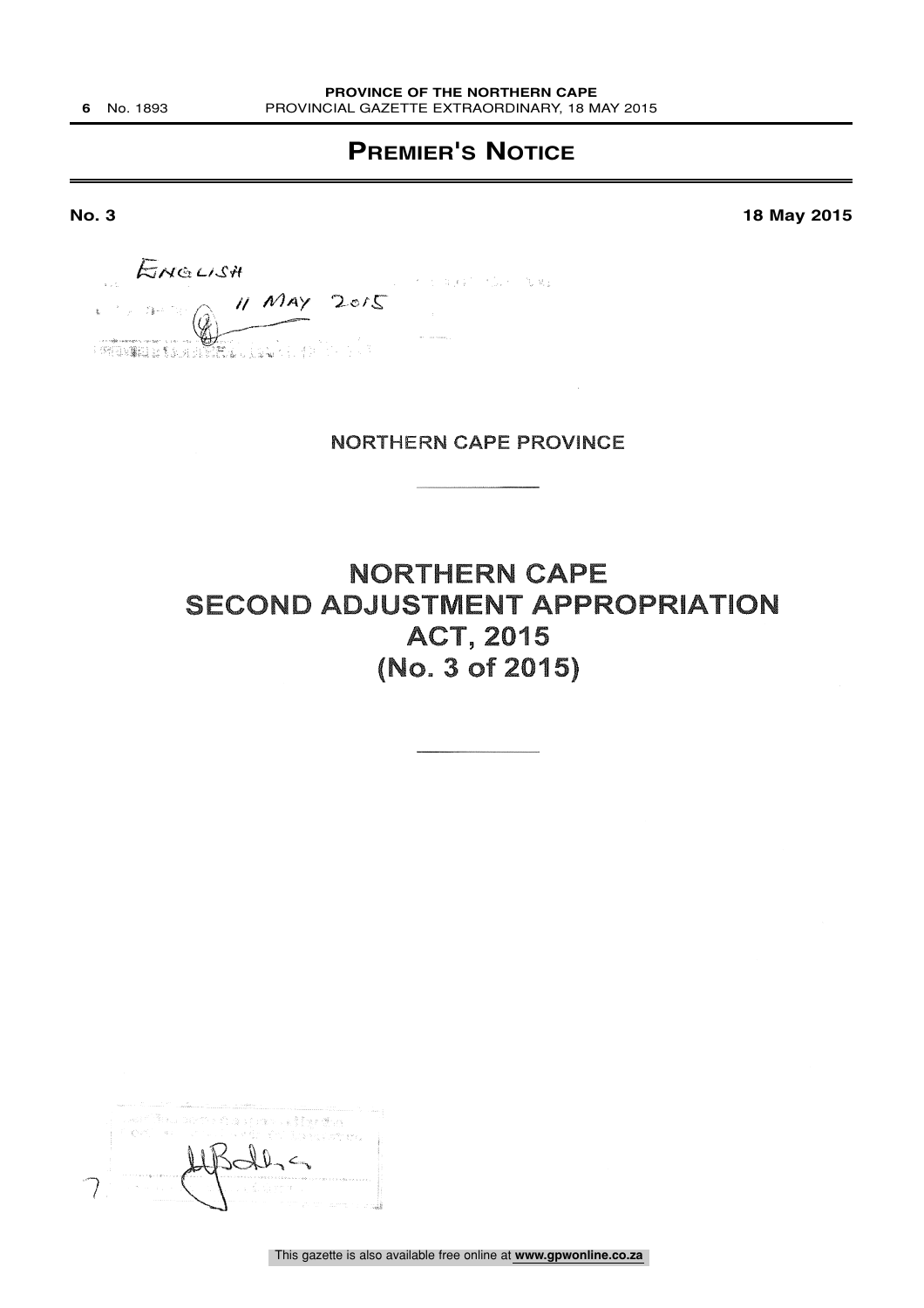### **PREMIER'S NOTICE**

**No. 3 18 May 2015**

 $N$ 1A $\gamma$   $\rightarrow$ "::,^'

### NORTHERN CAPE PROVINCE

NORTHERN CAPE SECOND ADJUSTMENT APPROPRIATION ACT, 2015 (No. 3 of 2015)

| user fina och en ao paca digetta                                                                                                                                                                                                                                                                                                                                                                                                                                                                                                     |
|--------------------------------------------------------------------------------------------------------------------------------------------------------------------------------------------------------------------------------------------------------------------------------------------------------------------------------------------------------------------------------------------------------------------------------------------------------------------------------------------------------------------------------------|
| i for a collectif thereom                                                                                                                                                                                                                                                                                                                                                                                                                                                                                                            |
|                                                                                                                                                                                                                                                                                                                                                                                                                                                                                                                                      |
| 医马耳耳鼻中的 化十六糖精 人名日本朝阳天文堂 电静脉分离 医血管电压<br>indi bilang di seperti s<br>and company                                                                                                                                                                                                                                                                                                                                                                                                                                                       |
| $\label{eq:reduced} \begin{split} \mathcal{L}_{\text{c}}(\mathcal{L}_{\text{c}}(\mathcal{L}_{\text{c}}(\mathcal{L}_{\text{c}}(\mathcal{L}_{\text{c}}(\mathcal{L}_{\text{c}}(\mathcal{L}_{\text{c}}(\mathcal{L}_{\text{c}}(\mathcal{L}_{\text{c}}(\mathcal{L}_{\text{c}}(\mathcal{L}_{\text{c}}(\mathcal{L}_{\text{c}}(\mathcal{L}_{\text{c}}(\mathcal{L}_{\text{c}}(\mathcal{L}_{\text{c}}(\mathcal{L}_{\text{c}}(\mathcal{L}_{\text{c}}(\mathcal{L}_{\text{c}}(\mathcal{L}_{\text{$<br>in Alberta College and Walter and States and |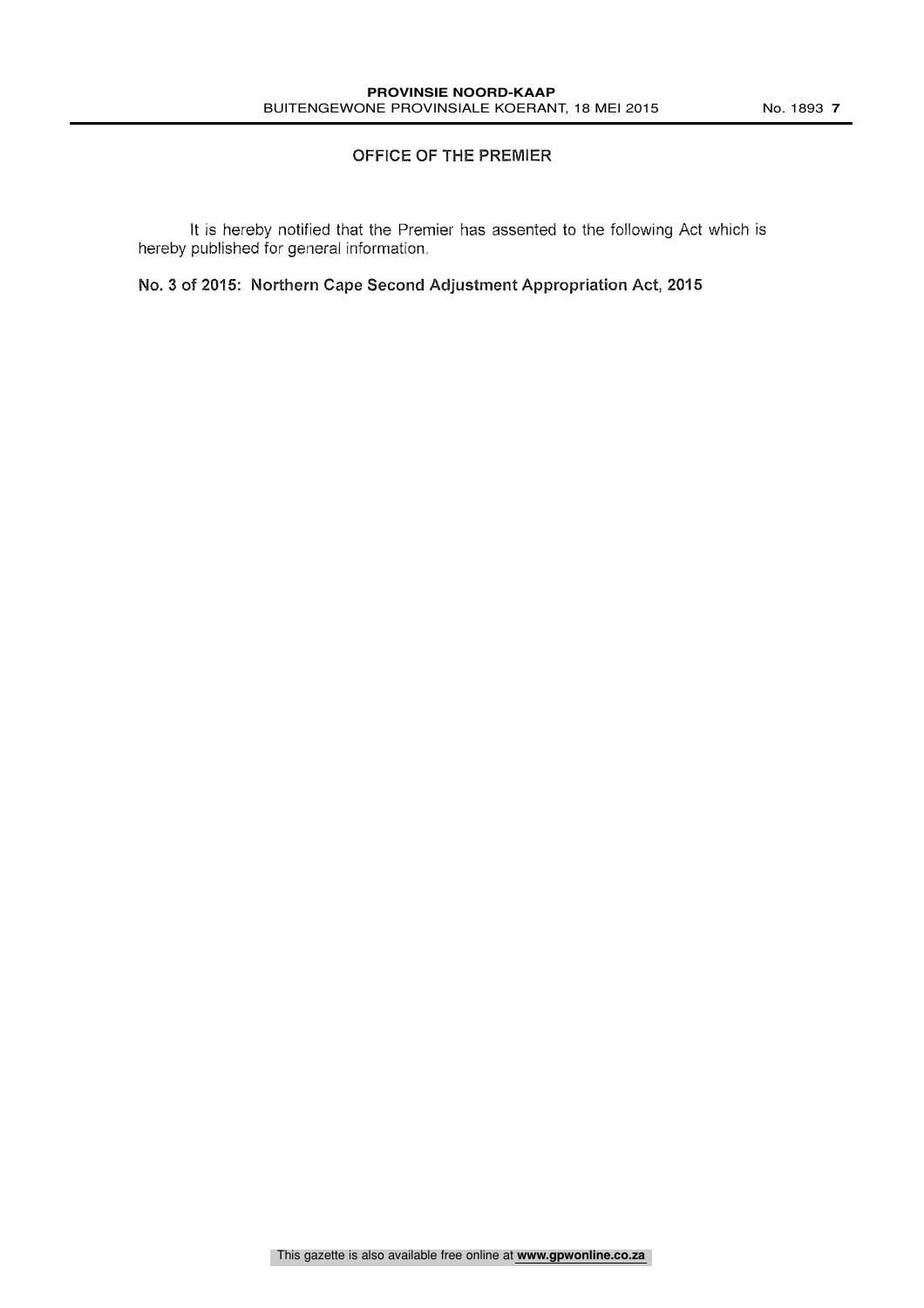### OFFICE OF THE PREMIER

It is hereby notified that the Premier has assented to the following Act which is hereby published for general information.

No. 3 of 2015: Northern Cape Second Adjustment Appropriation Act, 2015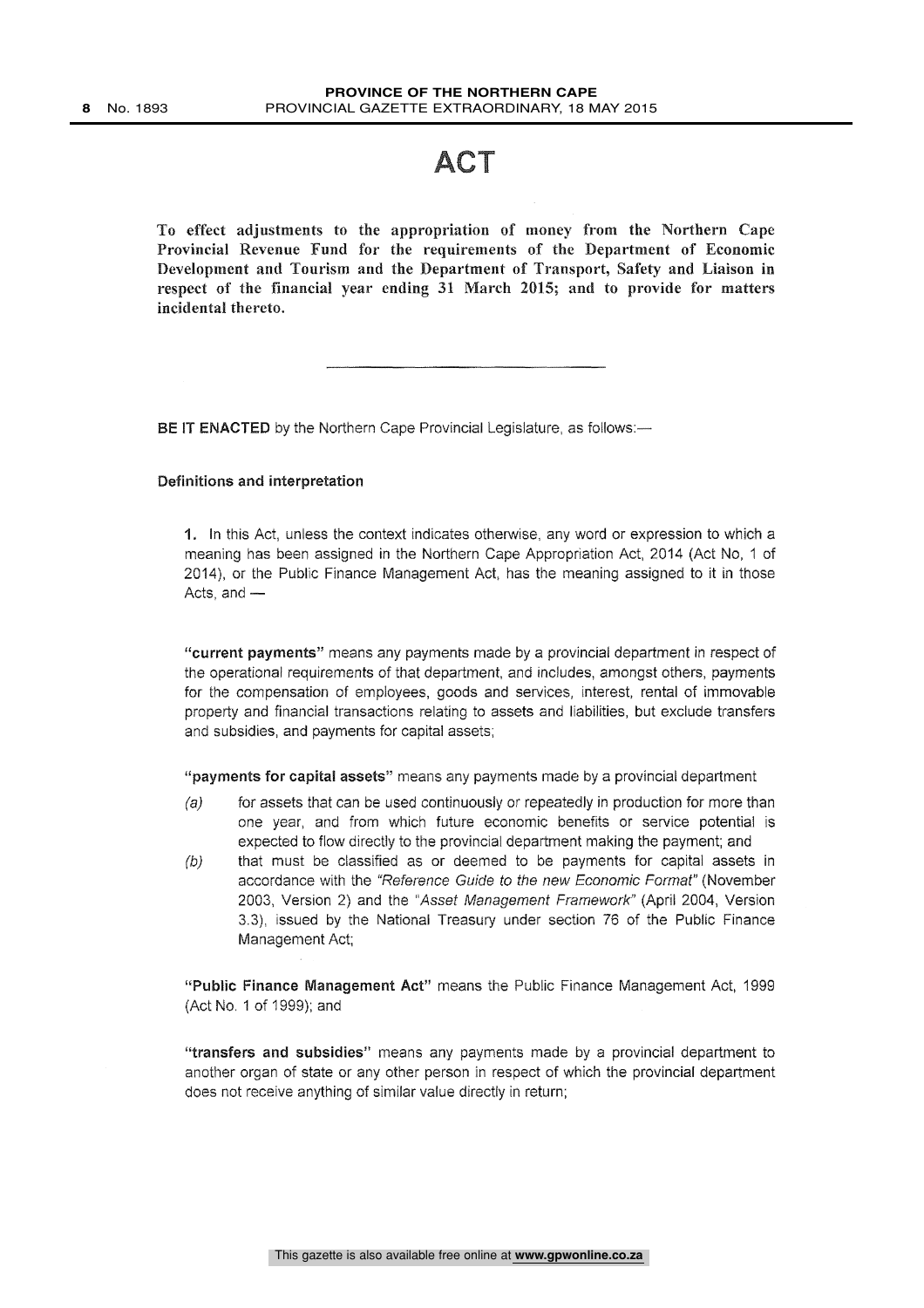### ACT

To effect adjustments to the appropriation of money from the Northern Cape Provincial Revenue Fund for the requirements of the Department of Economic Development and Tourism and the Department of Transport, Safety and Liaison in respect of the financial year ending 31 March 2015; and to provide for matters incidental thereto.

BE IT ENACTED by the Northern Cape Provincial Legislature, as follows:-

#### Definitions and interpretation

1. In this Act, unless the context indicates otherwise, any word or expression to which a meaning has been assigned in the Northern Cape Appropriation Act, 2014 (Act No, 1 of 2014), or the Public Finance Management Act, has the meaning assigned to it in those Acts, and  $-$ 

"current payments" means any payments made by a provincial department in respect of the operational requirements of that department, and includes, amongst others, payments for the compensation of employees, goods and services, interest, rental of immovable property and financial transactions relating to assets and liabilities, but exclude transfers and subsidies, and payments for capital assets;

"payments for capital assets" means any payments made by a provincial department

- $(a)$  for assets that can be used continuously or repeatedly in production for more than one year, and from which future economic benefits or service potential is expected to flow directly to the provincial department making the payment; and
- $(b)$  that must be classified as or deemed to be payments for capital assets in accordance with the "Reference Guide to the new Economic Format" (November 2003, Version 2) and the "Asset Management Framework" (April 2004, Version 3.3), issued by the National Treasury under section 76 of the Public Finance Management Act;

"Public Finance Management Act" means the Public Finance Management Act, 1999 (Act No. 1 of 1999); and

"transfers and subsidies" means any payments made by a provincial department to another organ of state or any other person in respect of which the provincial department does not receive anything of similar value directly in return;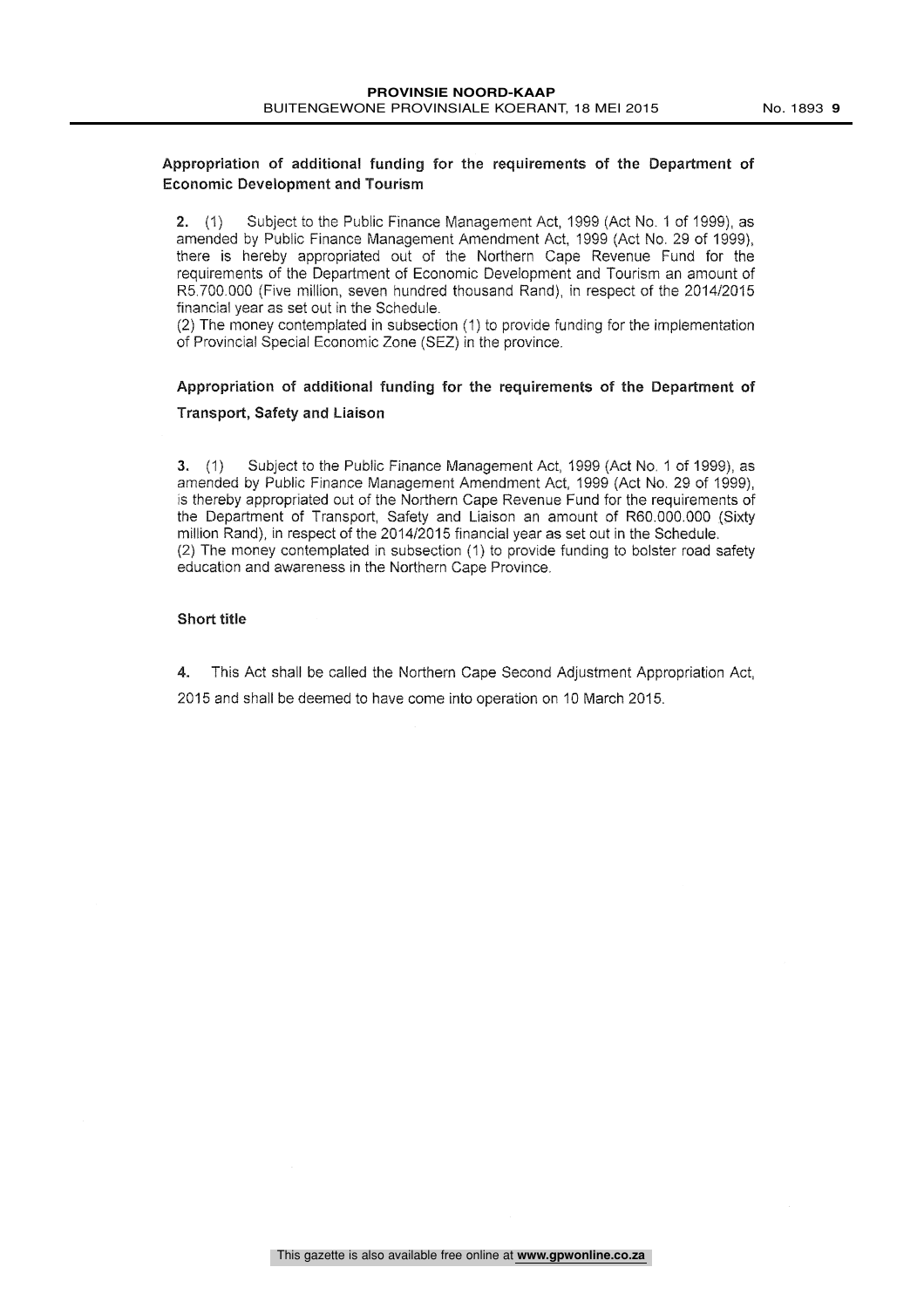### Appropriation of additional funding for the requirements of the Department of Economic Development and Tourism

2. (1) Subject to the Public Finance Management Act, 1999 (Act No. 1 of 1999), as amended by Public Finance Management Amendment Act, 1999 (Act No. 29 of 1999), there is hereby appropriated out of the Northern Cape Revenue Fund for the requirements of the Department of Economic Development and Tourism an amount of R5,700.000 (Five million, seven hundred thousand Rand), in respect of the 2014/2015 financial year as set out in the Schedule.

(2) The money contemplated in subsection (1) to provide funding for the implementation of Provincial Special Economic Zone (SEZ) in the province.

### Appropriation of additional funding for the requirements of the Department of Transport, Safety and Liaison

3. (1) Subject to the Public Finance Management Act, 1999 (Act No, 1 of 1999), as amended by Public Finance Management Amendment Act, 1999 (Act No. 29 of 1999), is thereby appropriated out of the Northern Cape Revenue Fund for the requirements of the Department of Transport, Safety and Liaison an amount of R60.000.000 (Sixty million Rand), in respect of the 2014/2015 financial year as set out in the Schedule. (2) The money contemplated in subsection (1) to provide funding to bolster road safety education and awareness in the Northern Cape Province,

### Short title

4. This Act shall be called the Northern Cape Second Adjustment Appropriation Act,

2015 and shall be deemed to have come into operation on 10 March 2015.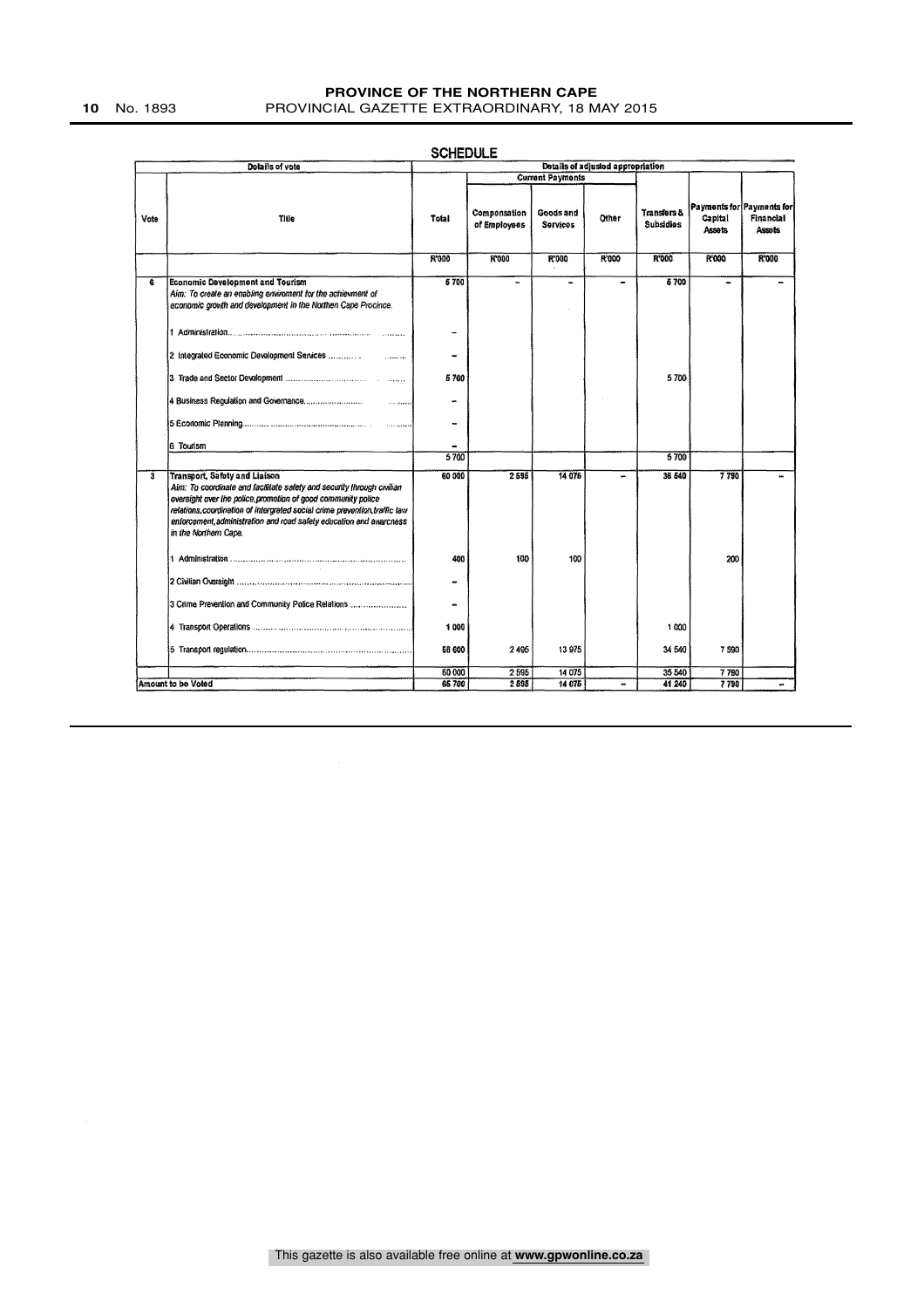|                         |                                                                                                                                                                                                                                                                                                                                                               | <b>SCHEDULE</b>                   |                              |                              |       |                                            |                   |                                                         |
|-------------------------|---------------------------------------------------------------------------------------------------------------------------------------------------------------------------------------------------------------------------------------------------------------------------------------------------------------------------------------------------------------|-----------------------------------|------------------------------|------------------------------|-------|--------------------------------------------|-------------------|---------------------------------------------------------|
|                         | Dotails of vote                                                                                                                                                                                                                                                                                                                                               | Details of adjusted appropriation |                              |                              |       |                                            |                   |                                                         |
|                         |                                                                                                                                                                                                                                                                                                                                                               |                                   |                              | <b>Current Payments</b>      |       |                                            |                   |                                                         |
| Vote                    | Title                                                                                                                                                                                                                                                                                                                                                         | Total                             | Componsation<br>of Employees | Goods and<br><b>Services</b> | Other | <b>Transfers &amp;</b><br><b>Subsidies</b> | Capital<br>Assets | Payments for Payments for<br><b>Financial</b><br>Assots |
|                         |                                                                                                                                                                                                                                                                                                                                                               | R'000                             | R'000                        | R'000                        | R'000 | R'000                                      | R'000             | <b>R'000</b>                                            |
| 6                       | <b>Economic Development and Tourism</b>                                                                                                                                                                                                                                                                                                                       | 6700                              | ÷                            |                              | -     | 6700                                       | -                 |                                                         |
|                         | Aim: To create an enabling enviroment for the achievment of<br>economic growth and development in the Northen Cape Procince.                                                                                                                                                                                                                                  |                                   |                              |                              |       |                                            |                   |                                                         |
|                         |                                                                                                                                                                                                                                                                                                                                                               | $\overline{\phantom{a}}$          |                              |                              |       |                                            |                   |                                                         |
|                         |                                                                                                                                                                                                                                                                                                                                                               | -                                 |                              |                              |       |                                            |                   |                                                         |
|                         |                                                                                                                                                                                                                                                                                                                                                               | 5700                              |                              |                              |       | 5700                                       |                   |                                                         |
|                         |                                                                                                                                                                                                                                                                                                                                                               |                                   |                              |                              |       |                                            |                   |                                                         |
|                         |                                                                                                                                                                                                                                                                                                                                                               | -                                 |                              |                              |       |                                            |                   |                                                         |
|                         | 6 Tourism                                                                                                                                                                                                                                                                                                                                                     |                                   |                              |                              |       |                                            |                   |                                                         |
|                         |                                                                                                                                                                                                                                                                                                                                                               | 5700                              |                              |                              |       | 5700                                       |                   |                                                         |
| $\overline{\mathbf{3}}$ | <b>Transport, Safety and Liaison</b><br>Aim: To coordinate and facilitate safety and security through civilian<br>oversight over the police promotion of good community police<br>relations, coordination of intergrated social crime prevention, traffic law<br>enforcement, administration and road safety education and awarcness<br>in the Northern Cape. | 60 000                            | 2 5 3 5                      | 14 076                       | u.    | 36 540                                     | 7790              |                                                         |
|                         |                                                                                                                                                                                                                                                                                                                                                               | 400                               | 100                          | 100                          |       |                                            | 200               |                                                         |
|                         |                                                                                                                                                                                                                                                                                                                                                               | -                                 |                              |                              |       |                                            |                   |                                                         |
|                         | 3 Crime Prevention and Community Police Relations                                                                                                                                                                                                                                                                                                             | $\blacksquare$                    |                              |                              |       |                                            |                   |                                                         |
|                         |                                                                                                                                                                                                                                                                                                                                                               | 1000                              |                              |                              |       | 1 000                                      |                   |                                                         |
|                         |                                                                                                                                                                                                                                                                                                                                                               | 68 600                            | 2495                         | 13975                        |       | 34 540                                     | 7 590             |                                                         |
|                         |                                                                                                                                                                                                                                                                                                                                                               | 60 000                            | 2595                         | 14 075                       |       | 35 540                                     | 7790              |                                                         |
|                         | Amount to be Voted                                                                                                                                                                                                                                                                                                                                            | 66700                             | 2 5 9 5                      | 14 075                       | ۰.    | 41 240                                     | 7790              | $\ddot{\phantom{1}}$                                    |